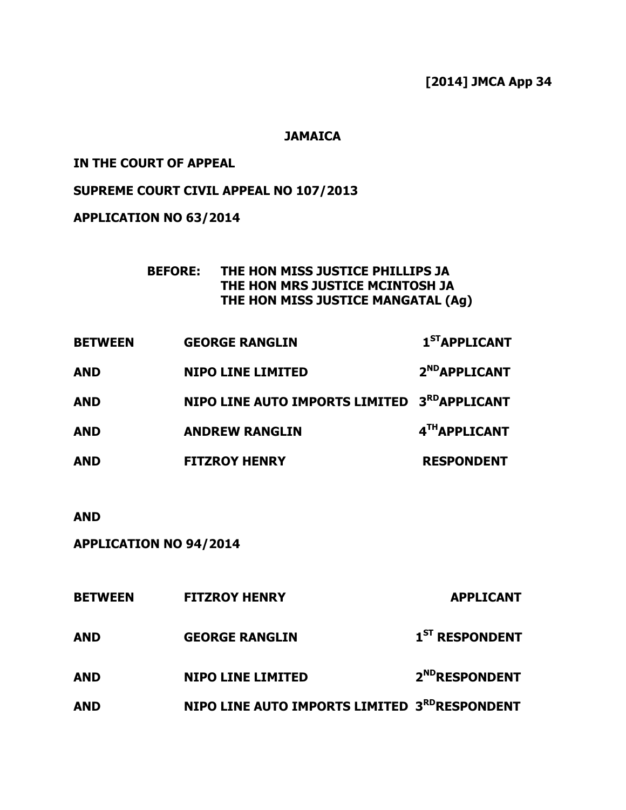# [2014] JMCA App 34

### **JAMAICA**

#### IN THE COURT OF APPEAL

### SUPREME COURT CIVIL APPEAL NO 107/2013

APPLICATION NO 63/2014

| BEFORE: THE HON MISS JUSTICE PHILLIPS JA |
|------------------------------------------|
| THE HON MRS JUSTICE MCINTOSH JA          |
| THE HON MISS JUSTICE MANGATAL (Ag)       |

| <b>BETWEEN</b> | <b>GEORGE RANGLIN</b>                                    | $1ST$ APPLICANT           |
|----------------|----------------------------------------------------------|---------------------------|
| <b>AND</b>     | <b>NIPO LINE LIMITED</b>                                 | 2 <sup>ND</sup> APPLICANT |
| <b>AND</b>     | NIPO LINE AUTO IMPORTS LIMITED 3 <sup>RD</sup> APPLICANT |                           |
| <b>AND</b>     | <b>ANDREW RANGLIN</b>                                    | 4TH APPLICANT             |
| <b>AND</b>     | <b>FITZROY HENRY</b>                                     | <b>RESPONDENT</b>         |

AND

APPLICATION NO 94/2014

| <b>BETWEEN</b> | <b>FITZROY HENRY</b>                         | <b>APPLICANT</b>           |
|----------------|----------------------------------------------|----------------------------|
| <b>AND</b>     | <b>GEORGE RANGLIN</b>                        | 1 <sup>ST</sup> RESPONDENT |
| <b>AND</b>     | <b>NIPO LINE LIMITED</b>                     | 2 <sup>ND</sup> RESPONDENT |
| <b>AND</b>     | NIPO LINE AUTO IMPORTS LIMITED 3RDRESPONDENT |                            |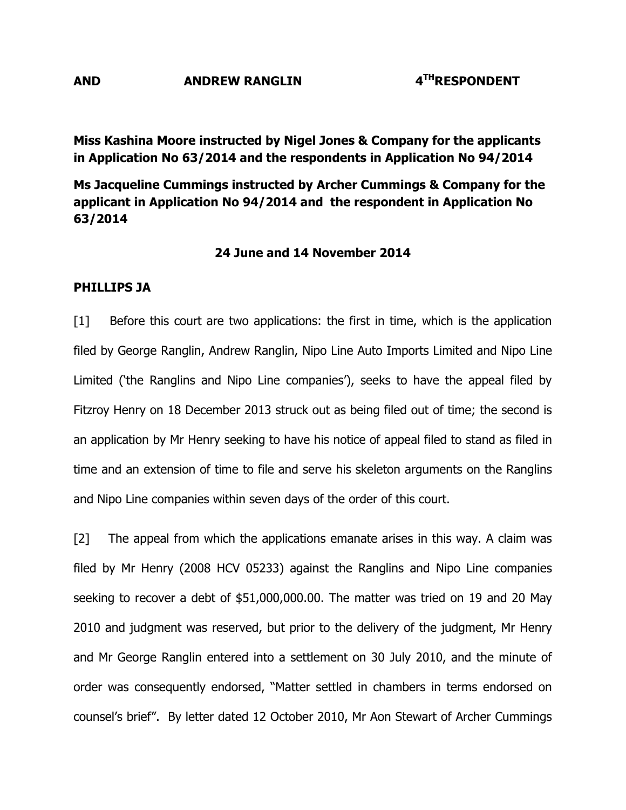### AND ANDREW RANGLIN 4<sup>TH</sup>RESPONDENT

Miss Kashina Moore instructed by Nigel Jones & Company for the applicants in Application No 63/2014 and the respondents in Application No 94/2014

Ms Jacqueline Cummings instructed by Archer Cummings & Company for the applicant in Application No 94/2014 and the respondent in Application No 63/2014

#### 24 June and 14 November 2014

#### PHILLIPS JA

[1] Before this court are two applications: the first in time, which is the application filed by George Ranglin, Andrew Ranglin, Nipo Line Auto Imports Limited and Nipo Line Limited ('the Ranglins and Nipo Line companies'), seeks to have the appeal filed by Fitzroy Henry on 18 December 2013 struck out as being filed out of time; the second is an application by Mr Henry seeking to have his notice of appeal filed to stand as filed in time and an extension of time to file and serve his skeleton arguments on the Ranglins and Nipo Line companies within seven days of the order of this court.

[2] The appeal from which the applications emanate arises in this way. A claim was filed by Mr Henry (2008 HCV 05233) against the Ranglins and Nipo Line companies seeking to recover a debt of \$51,000,000.00. The matter was tried on 19 and 20 May 2010 and judgment was reserved, but prior to the delivery of the judgment, Mr Henry and Mr George Ranglin entered into a settlement on 30 July 2010, and the minute of order was consequently endorsed, "Matter settled in chambers in terms endorsed on counsel's brief". By letter dated 12 October 2010, Mr Aon Stewart of Archer Cummings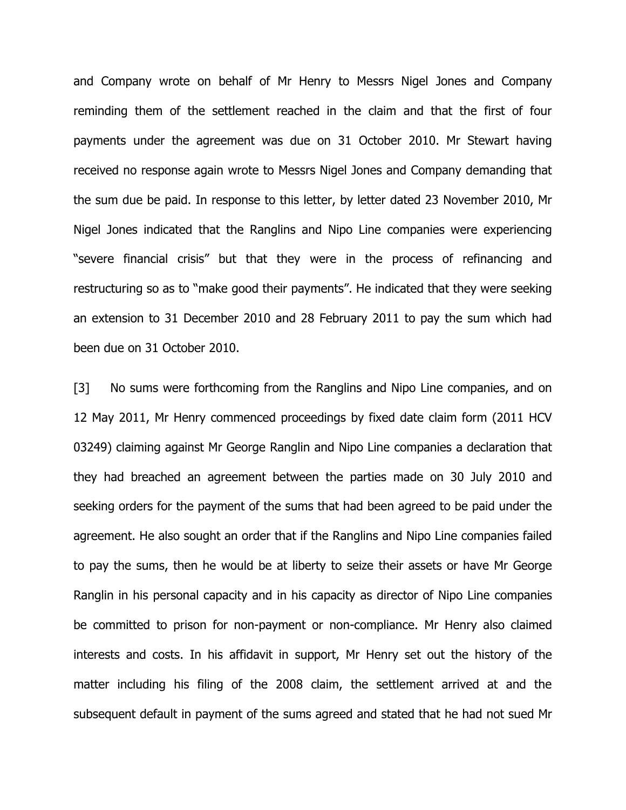and Company wrote on behalf of Mr Henry to Messrs Nigel Jones and Company reminding them of the settlement reached in the claim and that the first of four payments under the agreement was due on 31 October 2010. Mr Stewart having received no response again wrote to Messrs Nigel Jones and Company demanding that the sum due be paid. In response to this letter, by letter dated 23 November 2010, Mr Nigel Jones indicated that the Ranglins and Nipo Line companies were experiencing "severe financial crisis" but that they were in the process of refinancing and restructuring so as to "make good their payments". He indicated that they were seeking an extension to 31 December 2010 and 28 February 2011 to pay the sum which had been due on 31 October 2010.

[3] No sums were forthcoming from the Ranglins and Nipo Line companies, and on 12 May 2011, Mr Henry commenced proceedings by fixed date claim form (2011 HCV 03249) claiming against Mr George Ranglin and Nipo Line companies a declaration that they had breached an agreement between the parties made on 30 July 2010 and seeking orders for the payment of the sums that had been agreed to be paid under the agreement. He also sought an order that if the Ranglins and Nipo Line companies failed to pay the sums, then he would be at liberty to seize their assets or have Mr George Ranglin in his personal capacity and in his capacity as director of Nipo Line companies be committed to prison for non-payment or non-compliance. Mr Henry also claimed interests and costs. In his affidavit in support, Mr Henry set out the history of the matter including his filing of the 2008 claim, the settlement arrived at and the subsequent default in payment of the sums agreed and stated that he had not sued Mr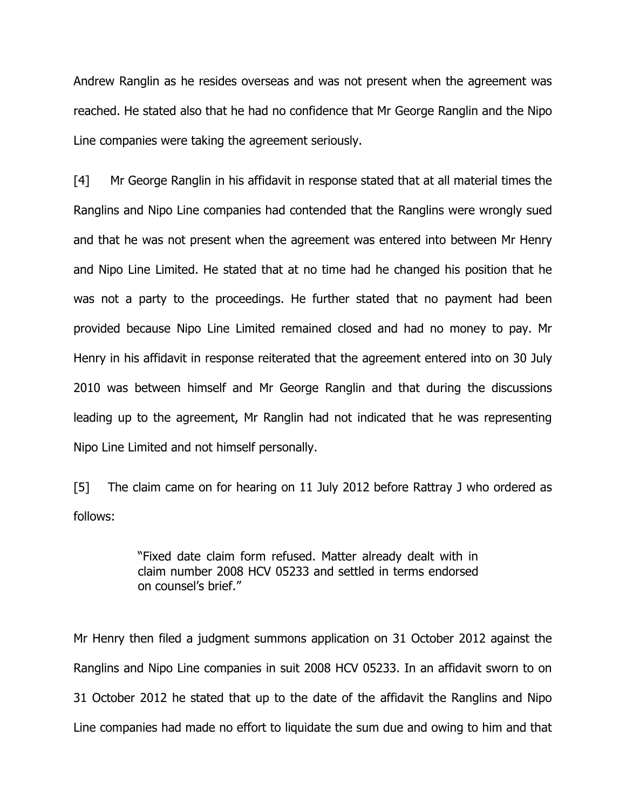Andrew Ranglin as he resides overseas and was not present when the agreement was reached. He stated also that he had no confidence that Mr George Ranglin and the Nipo Line companies were taking the agreement seriously.

[4] Mr George Ranglin in his affidavit in response stated that at all material times the Ranglins and Nipo Line companies had contended that the Ranglins were wrongly sued and that he was not present when the agreement was entered into between Mr Henry and Nipo Line Limited. He stated that at no time had he changed his position that he was not a party to the proceedings. He further stated that no payment had been provided because Nipo Line Limited remained closed and had no money to pay. Mr Henry in his affidavit in response reiterated that the agreement entered into on 30 July 2010 was between himself and Mr George Ranglin and that during the discussions leading up to the agreement, Mr Ranglin had not indicated that he was representing Nipo Line Limited and not himself personally.

[5] The claim came on for hearing on 11 July 2012 before Rattray J who ordered as follows:

> "Fixed date claim form refused. Matter already dealt with in claim number 2008 HCV 05233 and settled in terms endorsed on counsel's brief."

Mr Henry then filed a judgment summons application on 31 October 2012 against the Ranglins and Nipo Line companies in suit 2008 HCV 05233. In an affidavit sworn to on 31 October 2012 he stated that up to the date of the affidavit the Ranglins and Nipo Line companies had made no effort to liquidate the sum due and owing to him and that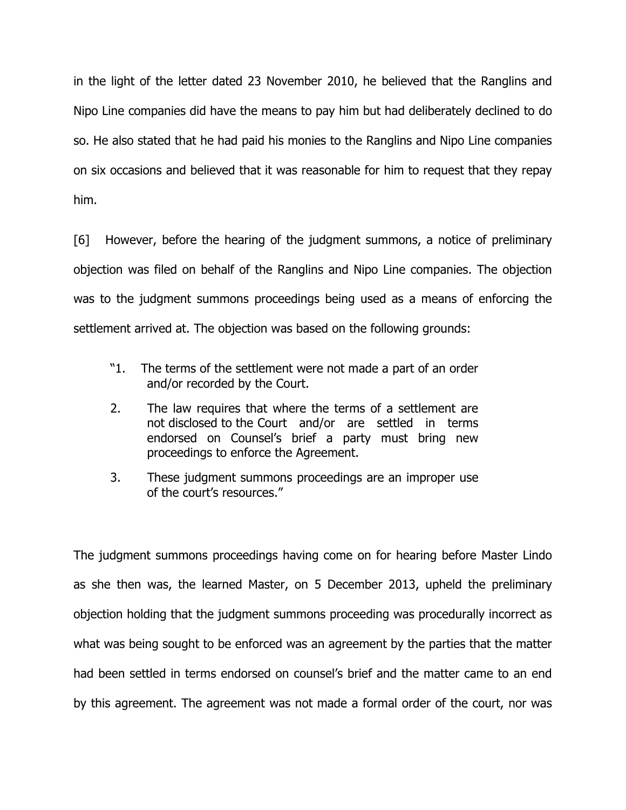in the light of the letter dated 23 November 2010, he believed that the Ranglins and Nipo Line companies did have the means to pay him but had deliberately declined to do so. He also stated that he had paid his monies to the Ranglins and Nipo Line companies on six occasions and believed that it was reasonable for him to request that they repay him.

[6] However, before the hearing of the judgment summons, a notice of preliminary objection was filed on behalf of the Ranglins and Nipo Line companies. The objection was to the judgment summons proceedings being used as a means of enforcing the settlement arrived at. The objection was based on the following grounds:

- "1. The terms of the settlement were not made a part of an order and/or recorded by the Court.
- 2. The law requires that where the terms of a settlement are not disclosed to the Court and/or are settled in terms endorsed on Counsel's brief a party must bring new proceedings to enforce the Agreement.
- 3. These judgment summons proceedings are an improper use of the court's resources."

The judgment summons proceedings having come on for hearing before Master Lindo as she then was, the learned Master, on 5 December 2013, upheld the preliminary objection holding that the judgment summons proceeding was procedurally incorrect as what was being sought to be enforced was an agreement by the parties that the matter had been settled in terms endorsed on counsel's brief and the matter came to an end by this agreement. The agreement was not made a formal order of the court, nor was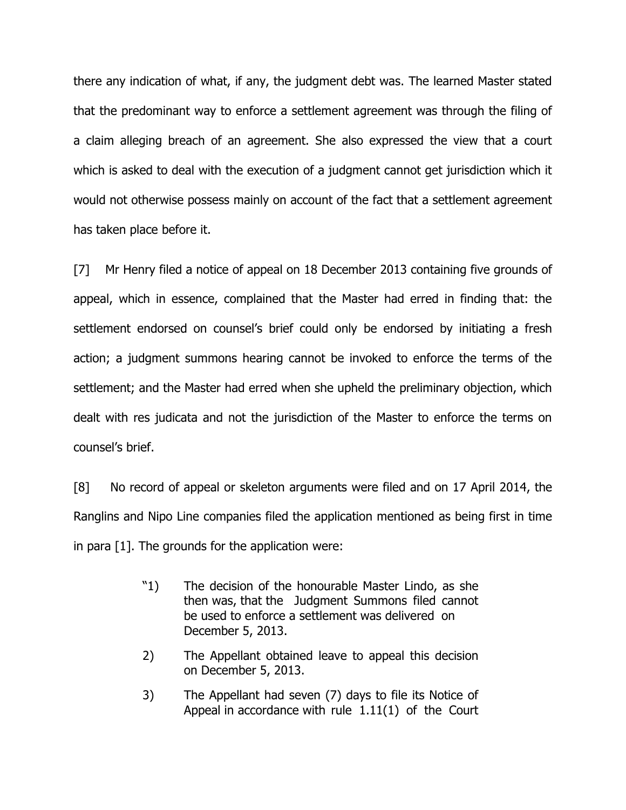there any indication of what, if any, the judgment debt was. The learned Master stated that the predominant way to enforce a settlement agreement was through the filing of a claim alleging breach of an agreement. She also expressed the view that a court which is asked to deal with the execution of a judgment cannot get jurisdiction which it would not otherwise possess mainly on account of the fact that a settlement agreement has taken place before it.

[7] Mr Henry filed a notice of appeal on 18 December 2013 containing five grounds of appeal, which in essence, complained that the Master had erred in finding that: the settlement endorsed on counsel's brief could only be endorsed by initiating a fresh action; a judgment summons hearing cannot be invoked to enforce the terms of the settlement; and the Master had erred when she upheld the preliminary objection, which dealt with res judicata and not the jurisdiction of the Master to enforce the terms on counsel's brief.

[8] No record of appeal or skeleton arguments were filed and on 17 April 2014, the Ranglins and Nipo Line companies filed the application mentioned as being first in time in para [1]. The grounds for the application were:

- "1) The decision of the honourable Master Lindo, as she then was, that the Judgment Summons filed cannot be used to enforce a settlement was delivered on December 5, 2013.
- 2) The Appellant obtained leave to appeal this decision on December 5, 2013.
- 3) The Appellant had seven (7) days to file its Notice of Appeal in accordance with rule 1.11(1) of the Court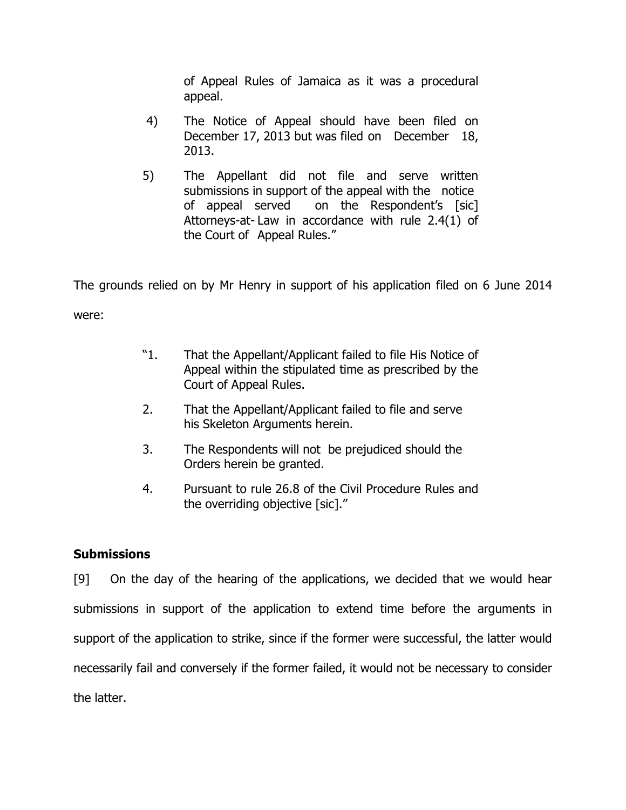of Appeal Rules of Jamaica as it was a procedural appeal.

- 4) The Notice of Appeal should have been filed on December 17, 2013 but was filed on December 18, 2013.
- 5) The Appellant did not file and serve written submissions in support of the appeal with the notice of appeal served on the Respondent's [sic] Attorneys-at- Law in accordance with rule 2.4(1) of the Court of Appeal Rules."

The grounds relied on by Mr Henry in support of his application filed on 6 June 2014 were:

- "1. That the Appellant/Applicant failed to file His Notice of Appeal within the stipulated time as prescribed by the Court of Appeal Rules.
- 2. That the Appellant/Applicant failed to file and serve his Skeleton Arguments herein.
- 3. The Respondents will not be prejudiced should the Orders herein be granted.
- 4. Pursuant to rule 26.8 of the Civil Procedure Rules and the overriding objective [sic]."

## **Submissions**

[9] On the day of the hearing of the applications, we decided that we would hear submissions in support of the application to extend time before the arguments in support of the application to strike, since if the former were successful, the latter would necessarily fail and conversely if the former failed, it would not be necessary to consider the latter.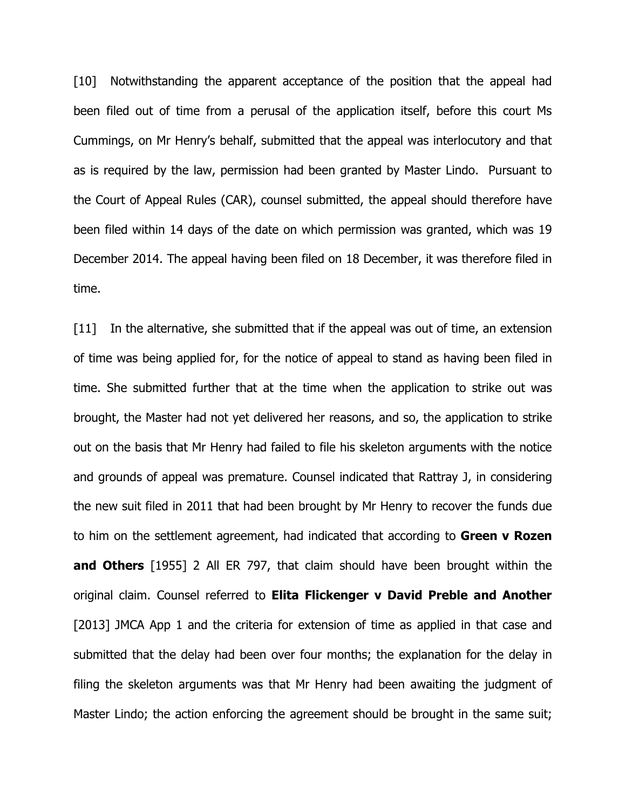[10] Notwithstanding the apparent acceptance of the position that the appeal had been filed out of time from a perusal of the application itself, before this court Ms Cummings, on Mr Henry's behalf, submitted that the appeal was interlocutory and that as is required by the law, permission had been granted by Master Lindo. Pursuant to the Court of Appeal Rules (CAR), counsel submitted, the appeal should therefore have been filed within 14 days of the date on which permission was granted, which was 19 December 2014. The appeal having been filed on 18 December, it was therefore filed in time.

[11] In the alternative, she submitted that if the appeal was out of time, an extension of time was being applied for, for the notice of appeal to stand as having been filed in time. She submitted further that at the time when the application to strike out was brought, the Master had not yet delivered her reasons, and so, the application to strike out on the basis that Mr Henry had failed to file his skeleton arguments with the notice and grounds of appeal was premature. Counsel indicated that Rattray J, in considering the new suit filed in 2011 that had been brought by Mr Henry to recover the funds due to him on the settlement agreement, had indicated that according to Green v Rozen and Others [1955] 2 All ER 797, that claim should have been brought within the original claim. Counsel referred to Elita Flickenger v David Preble and Another [2013] JMCA App 1 and the criteria for extension of time as applied in that case and submitted that the delay had been over four months; the explanation for the delay in filing the skeleton arguments was that Mr Henry had been awaiting the judgment of Master Lindo; the action enforcing the agreement should be brought in the same suit;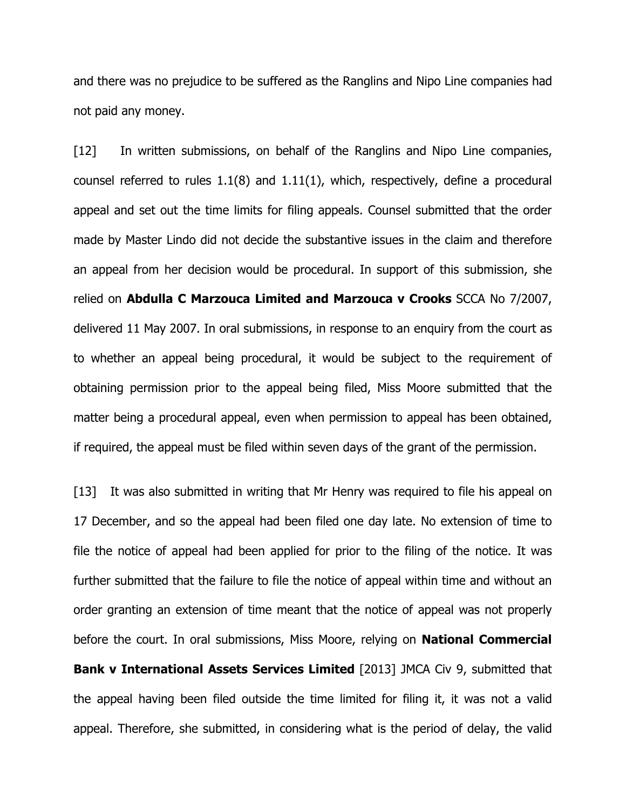and there was no prejudice to be suffered as the Ranglins and Nipo Line companies had not paid any money.

[12] In written submissions, on behalf of the Ranglins and Nipo Line companies, counsel referred to rules 1.1(8) and 1.11(1), which, respectively, define a procedural appeal and set out the time limits for filing appeals. Counsel submitted that the order made by Master Lindo did not decide the substantive issues in the claim and therefore an appeal from her decision would be procedural. In support of this submission, she relied on Abdulla C Marzouca Limited and Marzouca v Crooks SCCA No 7/2007, delivered 11 May 2007. In oral submissions, in response to an enquiry from the court as to whether an appeal being procedural, it would be subject to the requirement of obtaining permission prior to the appeal being filed, Miss Moore submitted that the matter being a procedural appeal, even when permission to appeal has been obtained, if required, the appeal must be filed within seven days of the grant of the permission.

[13] It was also submitted in writing that Mr Henry was required to file his appeal on 17 December, and so the appeal had been filed one day late. No extension of time to file the notice of appeal had been applied for prior to the filing of the notice. It was further submitted that the failure to file the notice of appeal within time and without an order granting an extension of time meant that the notice of appeal was not properly before the court. In oral submissions, Miss Moore, relying on **National Commercial Bank v International Assets Services Limited** [2013] JMCA Civ 9, submitted that the appeal having been filed outside the time limited for filing it, it was not a valid appeal. Therefore, she submitted, in considering what is the period of delay, the valid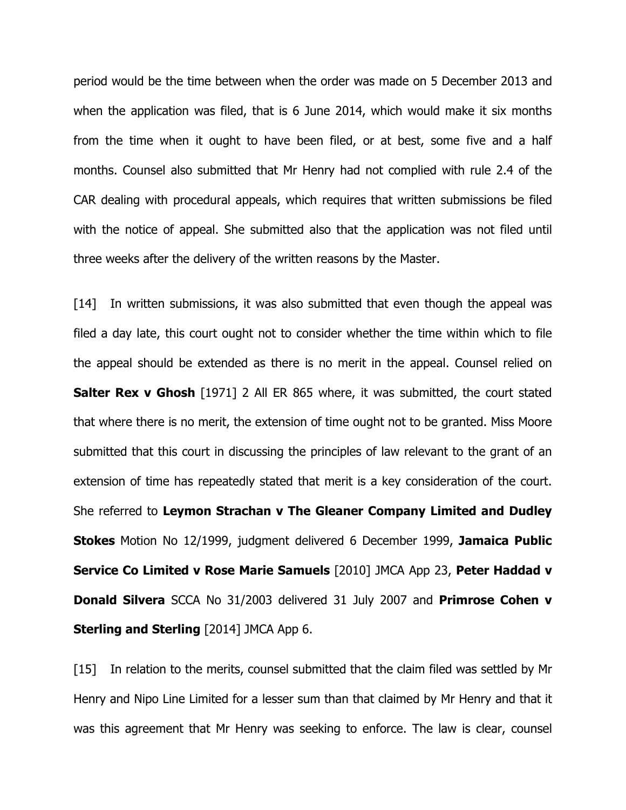period would be the time between when the order was made on 5 December 2013 and when the application was filed, that is 6 June 2014, which would make it six months from the time when it ought to have been filed, or at best, some five and a half months. Counsel also submitted that Mr Henry had not complied with rule 2.4 of the CAR dealing with procedural appeals, which requires that written submissions be filed with the notice of appeal. She submitted also that the application was not filed until three weeks after the delivery of the written reasons by the Master.

[14] In written submissions, it was also submitted that even though the appeal was filed a day late, this court ought not to consider whether the time within which to file the appeal should be extended as there is no merit in the appeal. Counsel relied on **Salter Rex v Ghosh** [1971] 2 All ER 865 where, it was submitted, the court stated that where there is no merit, the extension of time ought not to be granted. Miss Moore submitted that this court in discussing the principles of law relevant to the grant of an extension of time has repeatedly stated that merit is a key consideration of the court. She referred to Leymon Strachan v The Gleaner Company Limited and Dudley **Stokes** Motion No 12/1999, judgment delivered 6 December 1999, Jamaica Public Service Co Limited v Rose Marie Samuels [2010] JMCA App 23, Peter Haddad v **Donald Silvera** SCCA No 31/2003 delivered 31 July 2007 and **Primrose Cohen v Sterling and Sterling** [2014] JMCA App 6.

[15] In relation to the merits, counsel submitted that the claim filed was settled by Mr Henry and Nipo Line Limited for a lesser sum than that claimed by Mr Henry and that it was this agreement that Mr Henry was seeking to enforce. The law is clear, counsel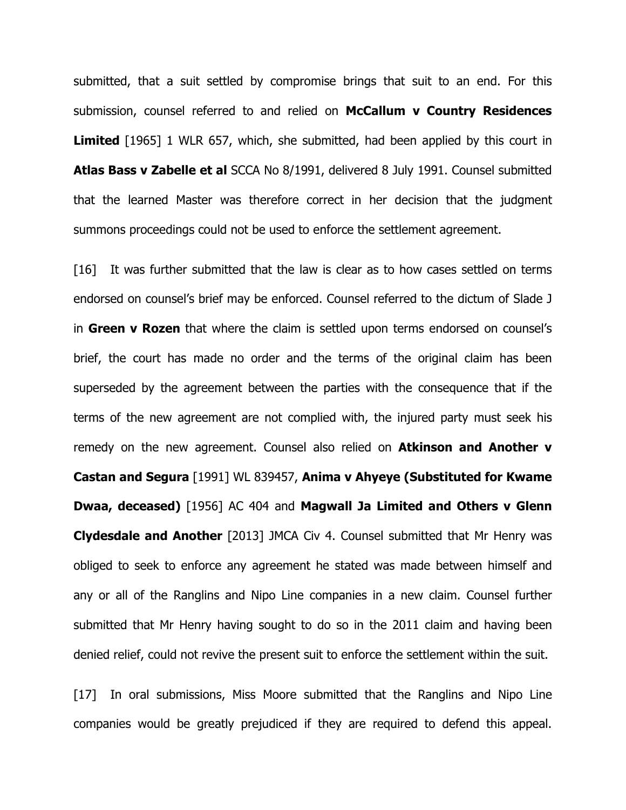submitted, that a suit settled by compromise brings that suit to an end. For this submission, counsel referred to and relied on McCallum v Country Residences **Limited** [1965] 1 WLR 657, which, she submitted, had been applied by this court in Atlas Bass v Zabelle et al SCCA No 8/1991, delivered 8 July 1991. Counsel submitted that the learned Master was therefore correct in her decision that the judgment summons proceedings could not be used to enforce the settlement agreement.

[16] It was further submitted that the law is clear as to how cases settled on terms endorsed on counsel's brief may be enforced. Counsel referred to the dictum of Slade J in Green v Rozen that where the claim is settled upon terms endorsed on counsel's brief, the court has made no order and the terms of the original claim has been superseded by the agreement between the parties with the consequence that if the terms of the new agreement are not complied with, the injured party must seek his remedy on the new agreement. Counsel also relied on **Atkinson and Another v** Castan and Segura [1991] WL 839457, Anima v Ahyeye (Substituted for Kwame Dwaa, deceased) [1956] AC 404 and Magwall Ja Limited and Others v Glenn Clydesdale and Another [2013] JMCA Civ 4. Counsel submitted that Mr Henry was obliged to seek to enforce any agreement he stated was made between himself and any or all of the Ranglins and Nipo Line companies in a new claim. Counsel further submitted that Mr Henry having sought to do so in the 2011 claim and having been denied relief, could not revive the present suit to enforce the settlement within the suit.

[17] In oral submissions, Miss Moore submitted that the Ranglins and Nipo Line companies would be greatly prejudiced if they are required to defend this appeal.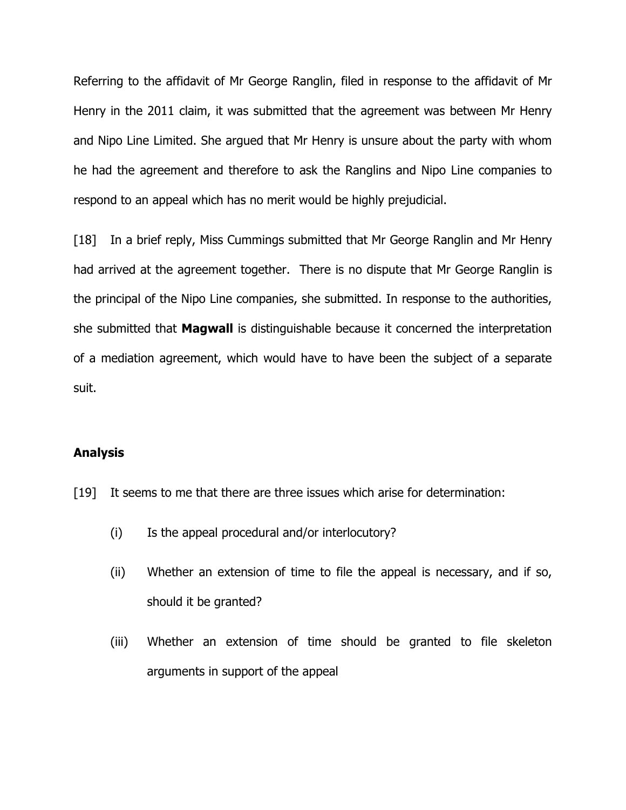Referring to the affidavit of Mr George Ranglin, filed in response to the affidavit of Mr Henry in the 2011 claim, it was submitted that the agreement was between Mr Henry and Nipo Line Limited. She argued that Mr Henry is unsure about the party with whom he had the agreement and therefore to ask the Ranglins and Nipo Line companies to respond to an appeal which has no merit would be highly prejudicial.

[18] In a brief reply, Miss Cummings submitted that Mr George Ranglin and Mr Henry had arrived at the agreement together. There is no dispute that Mr George Ranglin is the principal of the Nipo Line companies, she submitted. In response to the authorities, she submitted that **Magwall** is distinguishable because it concerned the interpretation of a mediation agreement, which would have to have been the subject of a separate suit.

#### Analysis

- [19] It seems to me that there are three issues which arise for determination:
	- (i) Is the appeal procedural and/or interlocutory?
	- (ii) Whether an extension of time to file the appeal is necessary, and if so, should it be granted?
	- (iii) Whether an extension of time should be granted to file skeleton arguments in support of the appeal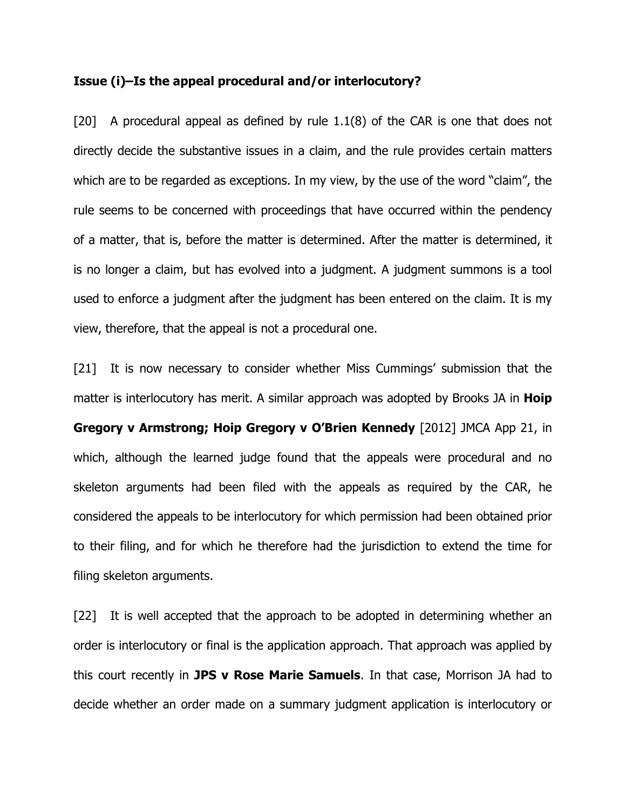#### Issue (i)–Is the appeal procedural and/or interlocutory?

[20] A procedural appeal as defined by rule 1.1(8) of the CAR is one that does not directly decide the substantive issues in a claim, and the rule provides certain matters which are to be regarded as exceptions. In my view, by the use of the word "claim", the rule seems to be concerned with proceedings that have occurred within the pendency of a matter, that is, before the matter is determined. After the matter is determined, it is no longer a claim, but has evolved into a judgment. A judgment summons is a tool used to enforce a judgment after the judgment has been entered on the claim. It is my view, therefore, that the appeal is not a procedural one.

[21] It is now necessary to consider whether Miss Cummings' submission that the matter is interlocutory has merit. A similar approach was adopted by Brooks JA in **Hoip** Gregory v Armstrong; Hoip Gregory v O'Brien Kennedy [2012] JMCA App 21, in which, although the learned judge found that the appeals were procedural and no skeleton arguments had been filed with the appeals as required by the CAR, he considered the appeals to be interlocutory for which permission had been obtained prior to their filing, and for which he therefore had the jurisdiction to extend the time for filing skeleton arguments.

[22] It is well accepted that the approach to be adopted in determining whether an order is interlocutory or final is the application approach. That approach was applied by this court recently in JPS v Rose Marie Samuels. In that case, Morrison JA had to decide whether an order made on a summary judgment application is interlocutory or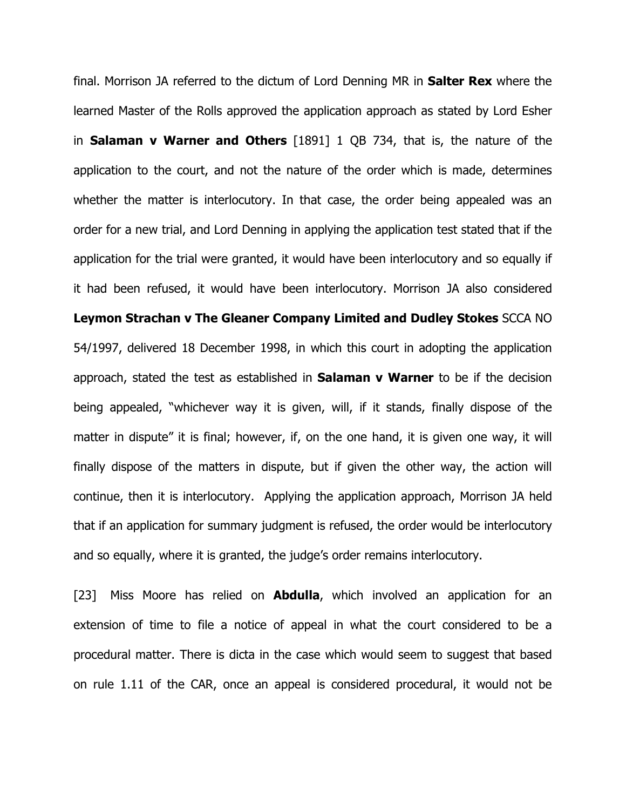final. Morrison JA referred to the dictum of Lord Denning MR in **Salter Rex** where the learned Master of the Rolls approved the application approach as stated by Lord Esher in Salaman v Warner and Others [1891] 1 QB 734, that is, the nature of the application to the court, and not the nature of the order which is made, determines whether the matter is interlocutory. In that case, the order being appealed was an order for a new trial, and Lord Denning in applying the application test stated that if the application for the trial were granted, it would have been interlocutory and so equally if it had been refused, it would have been interlocutory. Morrison JA also considered Leymon Strachan v The Gleaner Company Limited and Dudley Stokes SCCA NO 54/1997, delivered 18 December 1998, in which this court in adopting the application approach, stated the test as established in **Salaman v Warner** to be if the decision being appealed, "whichever way it is given, will, if it stands, finally dispose of the matter in dispute" it is final; however, if, on the one hand, it is given one way, it will finally dispose of the matters in dispute, but if given the other way, the action will continue, then it is interlocutory. Applying the application approach, Morrison JA held that if an application for summary judgment is refused, the order would be interlocutory and so equally, where it is granted, the judge's order remains interlocutory.

[23] Miss Moore has relied on **Abdulla**, which involved an application for an extension of time to file a notice of appeal in what the court considered to be a procedural matter. There is dicta in the case which would seem to suggest that based on rule 1.11 of the CAR, once an appeal is considered procedural, it would not be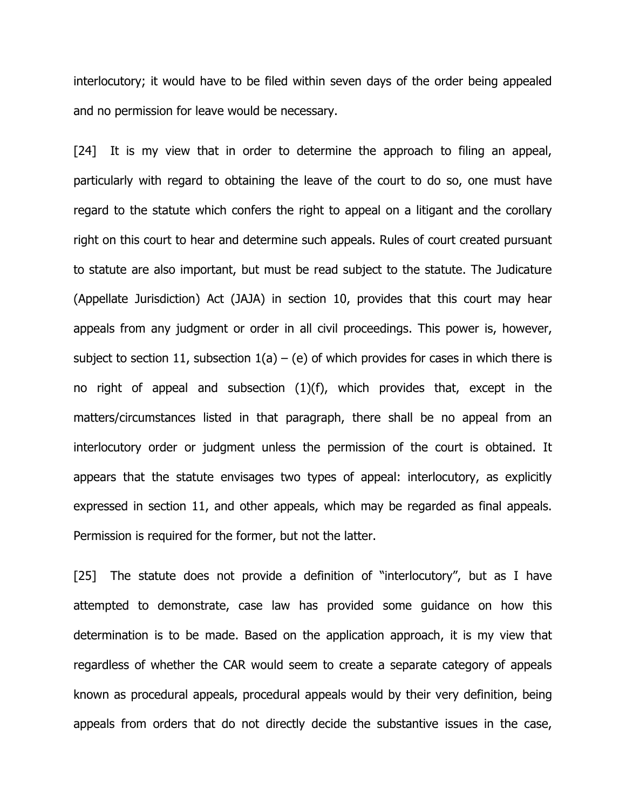interlocutory; it would have to be filed within seven days of the order being appealed and no permission for leave would be necessary.

[24] It is my view that in order to determine the approach to filing an appeal, particularly with regard to obtaining the leave of the court to do so, one must have regard to the statute which confers the right to appeal on a litigant and the corollary right on this court to hear and determine such appeals. Rules of court created pursuant to statute are also important, but must be read subject to the statute. The Judicature (Appellate Jurisdiction) Act (JAJA) in section 10, provides that this court may hear appeals from any judgment or order in all civil proceedings. This power is, however, subject to section 11, subsection  $1(a) - (e)$  of which provides for cases in which there is no right of appeal and subsection (1)(f), which provides that, except in the matters/circumstances listed in that paragraph, there shall be no appeal from an interlocutory order or judgment unless the permission of the court is obtained. It appears that the statute envisages two types of appeal: interlocutory, as explicitly expressed in section 11, and other appeals, which may be regarded as final appeals. Permission is required for the former, but not the latter.

[25] The statute does not provide a definition of "interlocutory", but as I have attempted to demonstrate, case law has provided some guidance on how this determination is to be made. Based on the application approach, it is my view that regardless of whether the CAR would seem to create a separate category of appeals known as procedural appeals, procedural appeals would by their very definition, being appeals from orders that do not directly decide the substantive issues in the case,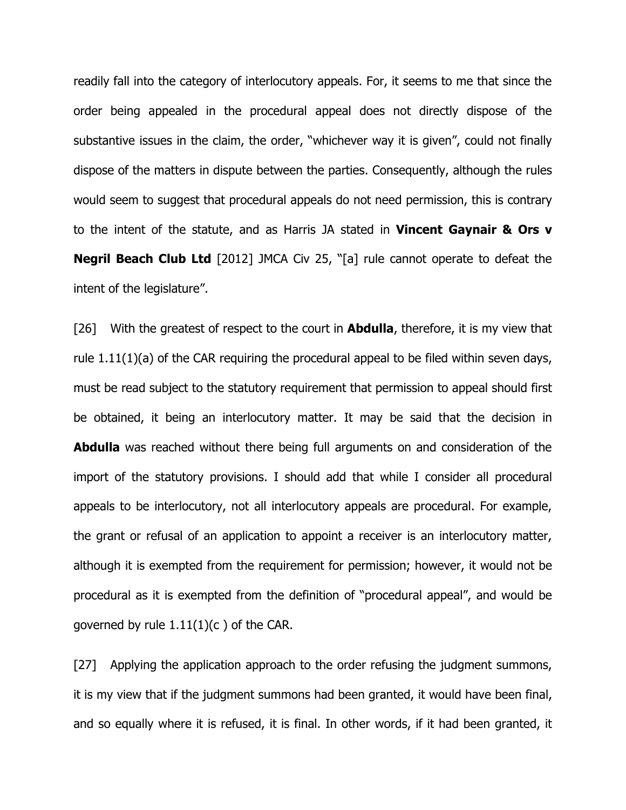readily fall into the category of interlocutory appeals. For, it seems to me that since the order being appealed in the procedural appeal does not directly dispose of the substantive issues in the claim, the order, "whichever way it is given", could not finally dispose of the matters in dispute between the parties. Consequently, although the rules would seem to suggest that procedural appeals do not need permission, this is contrary to the intent of the statute, and as Harris JA stated in **Vincent Gaynair & Ors v Negril Beach Club Ltd** [2012] JMCA Civ 25, "[a] rule cannot operate to defeat the intent of the legislature".

[26] With the greatest of respect to the court in **Abdulla**, therefore, it is my view that rule 1.11(1)(a) of the CAR requiring the procedural appeal to be filed within seven days, must be read subject to the statutory requirement that permission to appeal should first be obtained, it being an interlocutory matter. It may be said that the decision in **Abdulla** was reached without there being full arguments on and consideration of the import of the statutory provisions. I should add that while I consider all procedural appeals to be interlocutory, not all interlocutory appeals are procedural. For example, the grant or refusal of an application to appoint a receiver is an interlocutory matter, although it is exempted from the requirement for permission; however, it would not be procedural as it is exempted from the definition of "procedural appeal", and would be governed by rule 1.11(1)(c ) of the CAR.

[27] Applying the application approach to the order refusing the judgment summons, it is my view that if the judgment summons had been granted, it would have been final, and so equally where it is refused, it is final. In other words, if it had been granted, it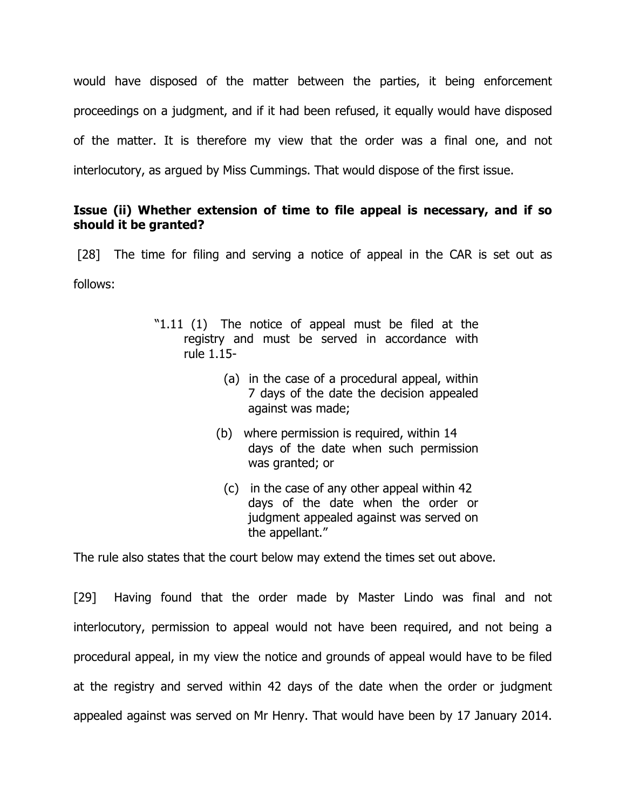would have disposed of the matter between the parties, it being enforcement proceedings on a judgment, and if it had been refused, it equally would have disposed of the matter. It is therefore my view that the order was a final one, and not interlocutory, as argued by Miss Cummings. That would dispose of the first issue.

### Issue (ii) Whether extension of time to file appeal is necessary, and if so should it be granted?

[28] The time for filing and serving a notice of appeal in the CAR is set out as follows:

- "1.11 (1) The notice of appeal must be filed at the registry and must be served in accordance with rule 1.15-
	- (a) in the case of a procedural appeal, within 7 days of the date the decision appealed against was made;
	- (b) where permission is required, within 14 days of the date when such permission was granted; or
		- (c) in the case of any other appeal within 42 days of the date when the order or judgment appealed against was served on the appellant."

The rule also states that the court below may extend the times set out above.

[29] Having found that the order made by Master Lindo was final and not interlocutory, permission to appeal would not have been required, and not being a procedural appeal, in my view the notice and grounds of appeal would have to be filed at the registry and served within 42 days of the date when the order or judgment appealed against was served on Mr Henry. That would have been by 17 January 2014.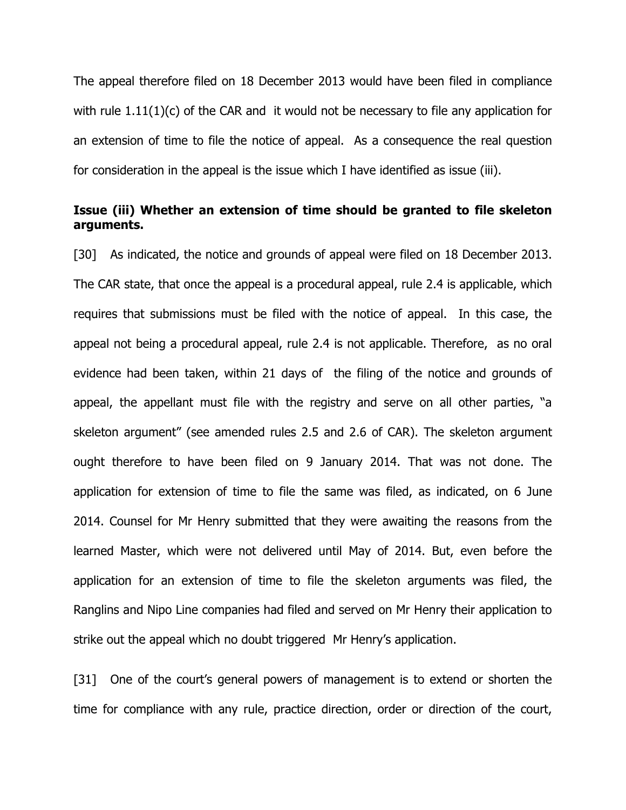The appeal therefore filed on 18 December 2013 would have been filed in compliance with rule  $1.11(1)(c)$  of the CAR and it would not be necessary to file any application for an extension of time to file the notice of appeal. As a consequence the real question for consideration in the appeal is the issue which I have identified as issue (iii).

#### Issue (iii) Whether an extension of time should be granted to file skeleton arguments.

[30] As indicated, the notice and grounds of appeal were filed on 18 December 2013. The CAR state, that once the appeal is a procedural appeal, rule 2.4 is applicable, which requires that submissions must be filed with the notice of appeal. In this case, the appeal not being a procedural appeal, rule 2.4 is not applicable. Therefore, as no oral evidence had been taken, within 21 days of the filing of the notice and grounds of appeal, the appellant must file with the registry and serve on all other parties, "a skeleton argument" (see amended rules 2.5 and 2.6 of CAR). The skeleton argument ought therefore to have been filed on 9 January 2014. That was not done. The application for extension of time to file the same was filed, as indicated, on 6 June 2014. Counsel for Mr Henry submitted that they were awaiting the reasons from the learned Master, which were not delivered until May of 2014. But, even before the application for an extension of time to file the skeleton arguments was filed, the Ranglins and Nipo Line companies had filed and served on Mr Henry their application to strike out the appeal which no doubt triggered Mr Henry's application.

[31] One of the court's general powers of management is to extend or shorten the time for compliance with any rule, practice direction, order or direction of the court,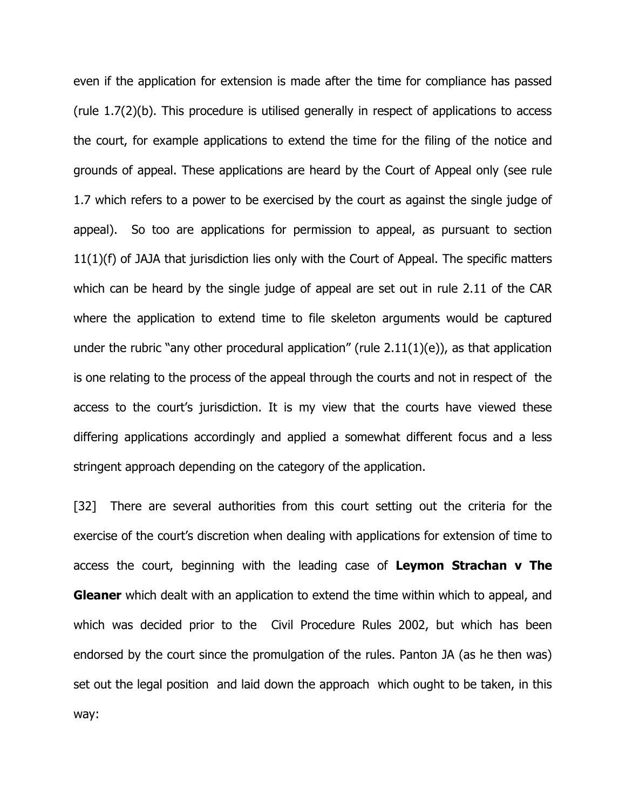even if the application for extension is made after the time for compliance has passed (rule 1.7(2)(b). This procedure is utilised generally in respect of applications to access the court, for example applications to extend the time for the filing of the notice and grounds of appeal. These applications are heard by the Court of Appeal only (see rule 1.7 which refers to a power to be exercised by the court as against the single judge of appeal). So too are applications for permission to appeal, as pursuant to section 11(1)(f) of JAJA that jurisdiction lies only with the Court of Appeal. The specific matters which can be heard by the single judge of appeal are set out in rule 2.11 of the CAR where the application to extend time to file skeleton arguments would be captured under the rubric "any other procedural application" (rule  $2.11(1)(e)$ ), as that application is one relating to the process of the appeal through the courts and not in respect of the access to the court's jurisdiction. It is my view that the courts have viewed these differing applications accordingly and applied a somewhat different focus and a less stringent approach depending on the category of the application.

[32] There are several authorities from this court setting out the criteria for the exercise of the court's discretion when dealing with applications for extension of time to access the court, beginning with the leading case of Leymon Strachan v The **Gleaner** which dealt with an application to extend the time within which to appeal, and which was decided prior to the Civil Procedure Rules 2002, but which has been endorsed by the court since the promulgation of the rules. Panton JA (as he then was) set out the legal position and laid down the approach which ought to be taken, in this way: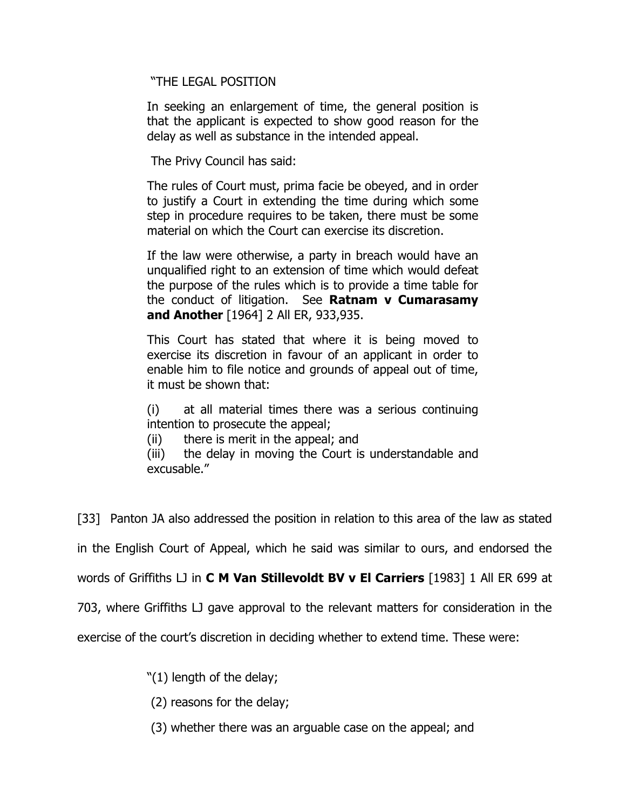"THE LEGAL POSITION

In seeking an enlargement of time, the general position is that the applicant is expected to show good reason for the delay as well as substance in the intended appeal.

The Privy Council has said:

The rules of Court must, prima facie be obeyed, and in order to justify a Court in extending the time during which some step in procedure requires to be taken, there must be some material on which the Court can exercise its discretion.

If the law were otherwise, a party in breach would have an unqualified right to an extension of time which would defeat the purpose of the rules which is to provide a time table for the conduct of litigation. See Ratnam  $v$  Cumarasamy and Another [1964] 2 All ER, 933,935.

This Court has stated that where it is being moved to exercise its discretion in favour of an applicant in order to enable him to file notice and grounds of appeal out of time, it must be shown that:

(i) at all material times there was a serious continuing intention to prosecute the appeal;

(ii) there is merit in the appeal; and

(iii) the delay in moving the Court is understandable and excusable."

[33] Panton JA also addressed the position in relation to this area of the law as stated

in the English Court of Appeal, which he said was similar to ours, and endorsed the

words of Griffiths LJ in **C M Van Stillevoldt BV v El Carriers** [1983] 1 All ER 699 at

703, where Griffiths LJ gave approval to the relevant matters for consideration in the

exercise of the court's discretion in deciding whether to extend time. These were:

"(1) length of the delay;

(2) reasons for the delay;

(3) whether there was an arguable case on the appeal; and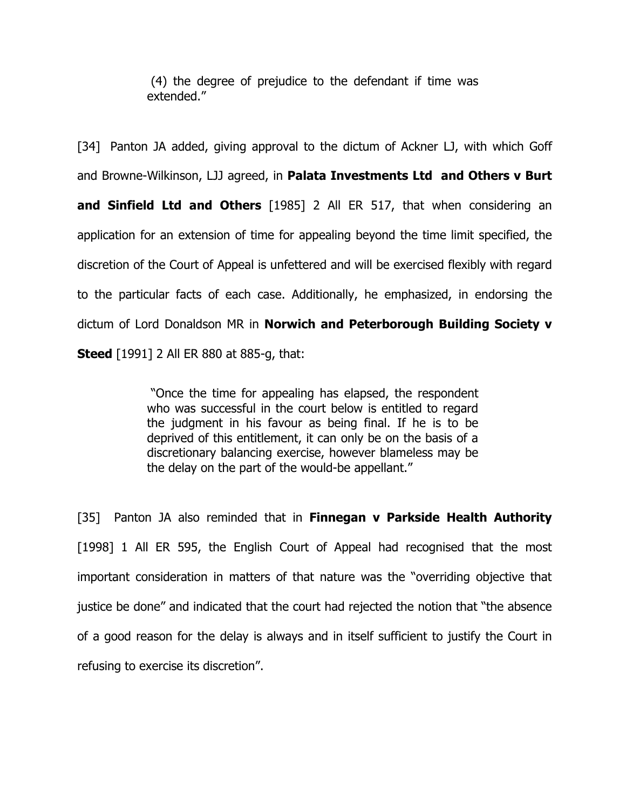(4) the degree of prejudice to the defendant if time was extended."

[34] Panton JA added, giving approval to the dictum of Ackner LJ, with which Goff and Browne-Wilkinson, LJJ agreed, in Palata Investments Ltd and Others v Burt and Sinfield Ltd and Others [1985] 2 All ER 517, that when considering an application for an extension of time for appealing beyond the time limit specified, the discretion of the Court of Appeal is unfettered and will be exercised flexibly with regard to the particular facts of each case. Additionally, he emphasized, in endorsing the dictum of Lord Donaldson MR in Norwich and Peterborough Building Society v **Steed** [1991] 2 All ER 880 at 885-g, that:

> "Once the time for appealing has elapsed, the respondent who was successful in the court below is entitled to regard the judgment in his favour as being final. If he is to be deprived of this entitlement, it can only be on the basis of a discretionary balancing exercise, however blameless may be the delay on the part of the would-be appellant."

[35] Panton JA also reminded that in **Finnegan v Parkside Health Authority** [1998] 1 All ER 595, the English Court of Appeal had recognised that the most important consideration in matters of that nature was the "overriding objective that justice be done" and indicated that the court had rejected the notion that "the absence of a good reason for the delay is always and in itself sufficient to justify the Court in refusing to exercise its discretion".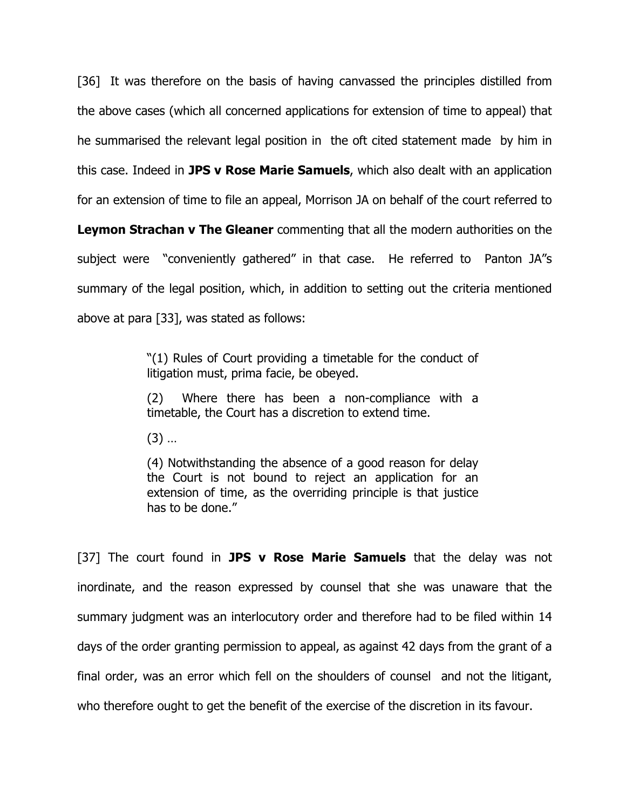[36] It was therefore on the basis of having canvassed the principles distilled from the above cases (which all concerned applications for extension of time to appeal) that he summarised the relevant legal position in the oft cited statement made by him in this case. Indeed in **JPS v Rose Marie Samuels**, which also dealt with an application for an extension of time to file an appeal, Morrison JA on behalf of the court referred to

**Leymon Strachan v The Gleaner** commenting that all the modern authorities on the subject were "conveniently gathered" in that case. He referred to Panton JA"s summary of the legal position, which, in addition to setting out the criteria mentioned above at para [33], was stated as follows:

> "(1) Rules of Court providing a timetable for the conduct of litigation must, prima facie, be obeyed.

> (2) Where there has been a non-compliance with a timetable, the Court has a discretion to extend time.

(3) …

(4) Notwithstanding the absence of a good reason for delay the Court is not bound to reject an application for an extension of time, as the overriding principle is that justice has to be done."

[37] The court found in **JPS v Rose Marie Samuels** that the delay was not inordinate, and the reason expressed by counsel that she was unaware that the summary judgment was an interlocutory order and therefore had to be filed within 14 days of the order granting permission to appeal, as against 42 days from the grant of a final order, was an error which fell on the shoulders of counsel and not the litigant, who therefore ought to get the benefit of the exercise of the discretion in its favour.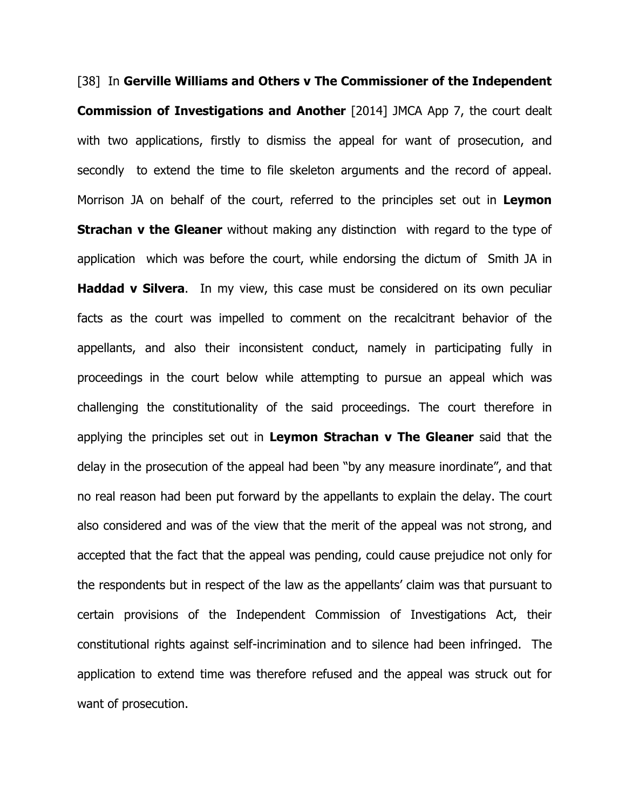[38] In Gerville Williams and Others v The Commissioner of the Independent Commission of Investigations and Another [2014] JMCA App 7, the court dealt with two applications, firstly to dismiss the appeal for want of prosecution, and secondly to extend the time to file skeleton arguments and the record of appeal. Morrison JA on behalf of the court, referred to the principles set out in Leymon **Strachan v the Gleaner** without making any distinction with regard to the type of application which was before the court, while endorsing the dictum of Smith JA in **Haddad v Silvera.** In my view, this case must be considered on its own peculiar facts as the court was impelled to comment on the recalcitrant behavior of the appellants, and also their inconsistent conduct, namely in participating fully in proceedings in the court below while attempting to pursue an appeal which was challenging the constitutionality of the said proceedings. The court therefore in applying the principles set out in Leymon Strachan  $v$  The Gleaner said that the delay in the prosecution of the appeal had been "by any measure inordinate", and that no real reason had been put forward by the appellants to explain the delay. The court also considered and was of the view that the merit of the appeal was not strong, and accepted that the fact that the appeal was pending, could cause prejudice not only for the respondents but in respect of the law as the appellants' claim was that pursuant to certain provisions of the Independent Commission of Investigations Act, their constitutional rights against self-incrimination and to silence had been infringed. The application to extend time was therefore refused and the appeal was struck out for want of prosecution.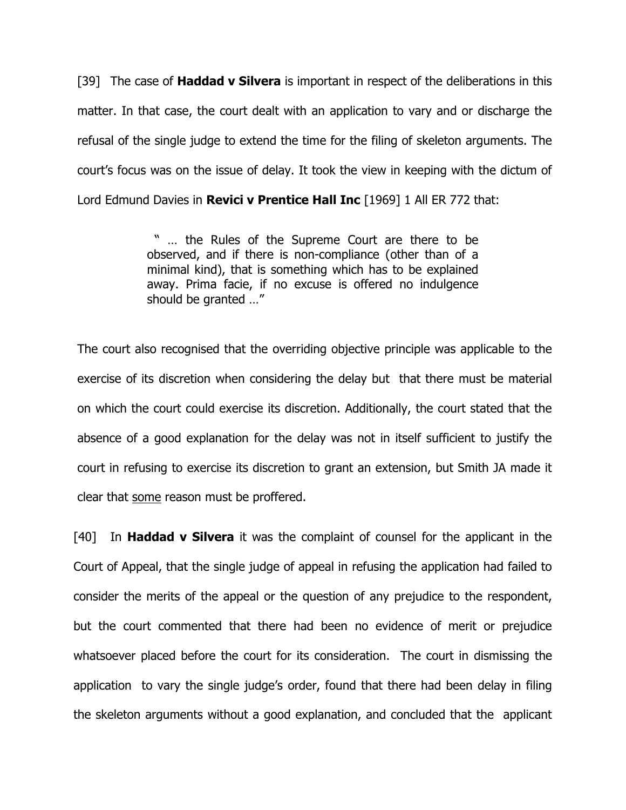[39] The case of **Haddad v Silvera** is important in respect of the deliberations in this matter. In that case, the court dealt with an application to vary and or discharge the refusal of the single judge to extend the time for the filing of skeleton arguments. The court's focus was on the issue of delay. It took the view in keeping with the dictum of Lord Edmund Davies in **Revici v Prentice Hall Inc** [1969] 1 All ER 772 that:

> " … the Rules of the Supreme Court are there to be observed, and if there is non-compliance (other than of a minimal kind), that is something which has to be explained away. Prima facie, if no excuse is offered no indulgence should be granted …"

The court also recognised that the overriding objective principle was applicable to the exercise of its discretion when considering the delay but that there must be material on which the court could exercise its discretion. Additionally, the court stated that the absence of a good explanation for the delay was not in itself sufficient to justify the court in refusing to exercise its discretion to grant an extension, but Smith JA made it clear that some reason must be proffered.

[40] In **Haddad v Silvera** it was the complaint of counsel for the applicant in the Court of Appeal, that the single judge of appeal in refusing the application had failed to consider the merits of the appeal or the question of any prejudice to the respondent, but the court commented that there had been no evidence of merit or prejudice whatsoever placed before the court for its consideration. The court in dismissing the application to vary the single judge's order, found that there had been delay in filing the skeleton arguments without a good explanation, and concluded that the applicant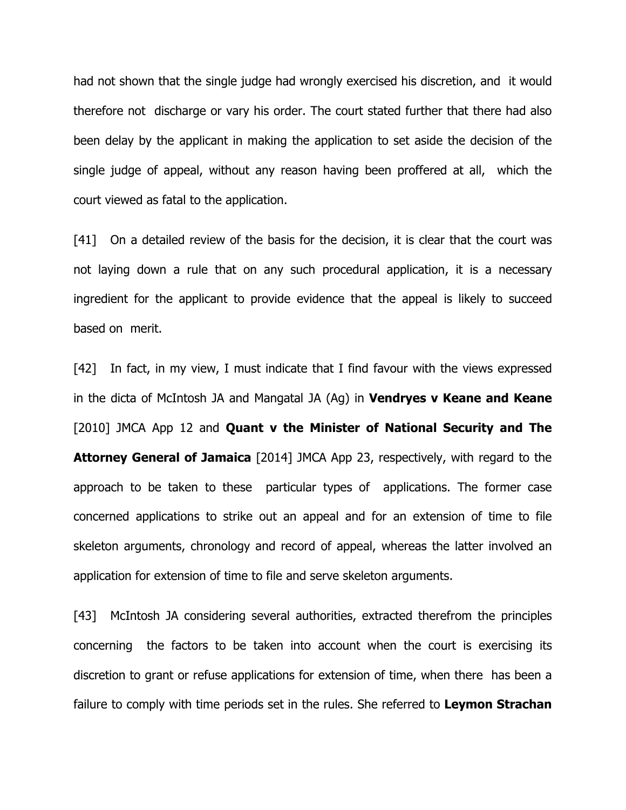had not shown that the single judge had wrongly exercised his discretion, and it would therefore not discharge or vary his order. The court stated further that there had also been delay by the applicant in making the application to set aside the decision of the single judge of appeal, without any reason having been proffered at all, which the court viewed as fatal to the application.

[41] On a detailed review of the basis for the decision, it is clear that the court was not laying down a rule that on any such procedural application, it is a necessary ingredient for the applicant to provide evidence that the appeal is likely to succeed based on merit.

[42] In fact, in my view, I must indicate that I find favour with the views expressed in the dicta of McIntosh JA and Mangatal JA  $(Aq)$  in **Vendryes v Keane and Keane** [2010] JMCA App 12 and **Quant v the Minister of National Security and The Attorney General of Jamaica** [2014] JMCA App 23, respectively, with regard to the approach to be taken to these particular types of applications. The former case concerned applications to strike out an appeal and for an extension of time to file skeleton arguments, chronology and record of appeal, whereas the latter involved an application for extension of time to file and serve skeleton arguments.

[43] McIntosh JA considering several authorities, extracted therefrom the principles concerning the factors to be taken into account when the court is exercising its discretion to grant or refuse applications for extension of time, when there has been a failure to comply with time periods set in the rules. She referred to Leymon Strachan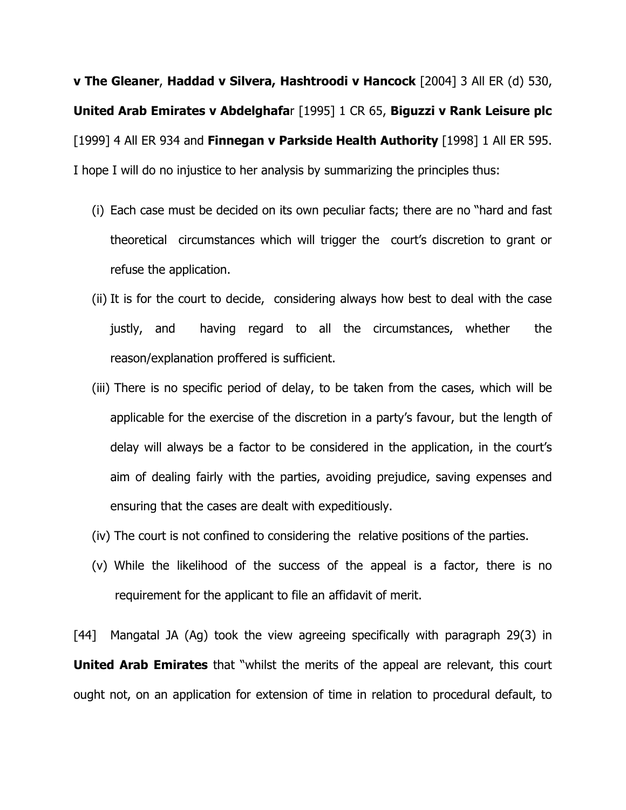v The Gleaner, Haddad v Silvera, Hashtroodi v Hancock [2004] 3 All ER (d) 530, United Arab Emirates v Abdelghafar [1995] 1 CR 65, Biguzzi v Rank Leisure plc [1999] 4 All ER 934 and Finnegan v Parkside Health Authority [1998] 1 All ER 595. I hope I will do no injustice to her analysis by summarizing the principles thus:

- (i) Each case must be decided on its own peculiar facts; there are no "hard and fast theoretical circumstances which will trigger the court's discretion to grant or refuse the application.
- (ii) It is for the court to decide, considering always how best to deal with the case justly, and having regard to all the circumstances, whether the reason/explanation proffered is sufficient.
- (iii) There is no specific period of delay, to be taken from the cases, which will be applicable for the exercise of the discretion in a party's favour, but the length of delay will always be a factor to be considered in the application, in the court's aim of dealing fairly with the parties, avoiding prejudice, saving expenses and ensuring that the cases are dealt with expeditiously.
- (iv) The court is not confined to considering the relative positions of the parties.
- (v) While the likelihood of the success of the appeal is a factor, there is no requirement for the applicant to file an affidavit of merit.

[44] Mangatal JA (Ag) took the view agreeing specifically with paragraph 29(3) in **United Arab Emirates** that "whilst the merits of the appeal are relevant, this court ought not, on an application for extension of time in relation to procedural default, to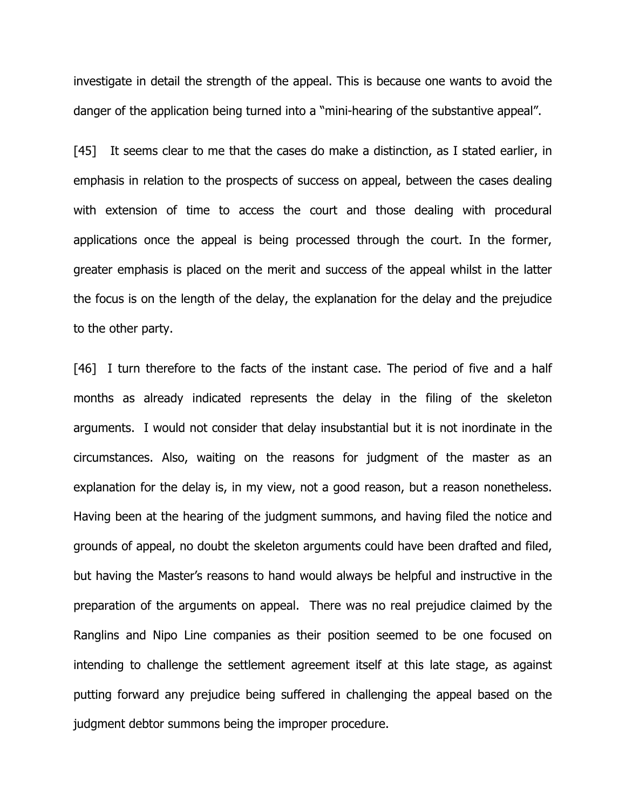investigate in detail the strength of the appeal. This is because one wants to avoid the danger of the application being turned into a "mini-hearing of the substantive appeal".

[45] It seems clear to me that the cases do make a distinction, as I stated earlier, in emphasis in relation to the prospects of success on appeal, between the cases dealing with extension of time to access the court and those dealing with procedural applications once the appeal is being processed through the court. In the former, greater emphasis is placed on the merit and success of the appeal whilst in the latter the focus is on the length of the delay, the explanation for the delay and the prejudice to the other party.

[46] I turn therefore to the facts of the instant case. The period of five and a half months as already indicated represents the delay in the filing of the skeleton arguments. I would not consider that delay insubstantial but it is not inordinate in the circumstances. Also, waiting on the reasons for judgment of the master as an explanation for the delay is, in my view, not a good reason, but a reason nonetheless. Having been at the hearing of the judgment summons, and having filed the notice and grounds of appeal, no doubt the skeleton arguments could have been drafted and filed, but having the Master's reasons to hand would always be helpful and instructive in the preparation of the arguments on appeal. There was no real prejudice claimed by the Ranglins and Nipo Line companies as their position seemed to be one focused on intending to challenge the settlement agreement itself at this late stage, as against putting forward any prejudice being suffered in challenging the appeal based on the judgment debtor summons being the improper procedure.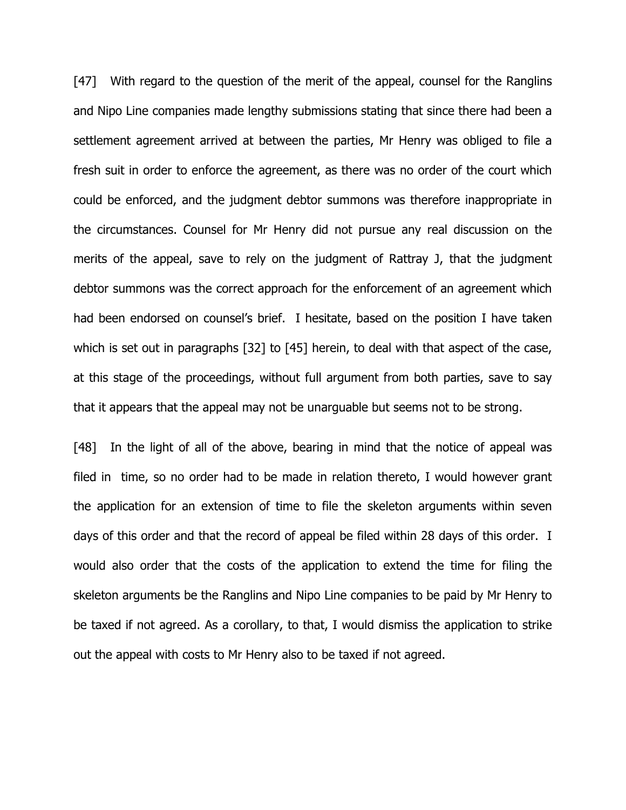[47] With regard to the question of the merit of the appeal, counsel for the Ranglins and Nipo Line companies made lengthy submissions stating that since there had been a settlement agreement arrived at between the parties, Mr Henry was obliged to file a fresh suit in order to enforce the agreement, as there was no order of the court which could be enforced, and the judgment debtor summons was therefore inappropriate in the circumstances. Counsel for Mr Henry did not pursue any real discussion on the merits of the appeal, save to rely on the judgment of Rattray J, that the judgment debtor summons was the correct approach for the enforcement of an agreement which had been endorsed on counsel's brief. I hesitate, based on the position I have taken which is set out in paragraphs [32] to [45] herein, to deal with that aspect of the case, at this stage of the proceedings, without full argument from both parties, save to say that it appears that the appeal may not be unarguable but seems not to be strong.

[48] In the light of all of the above, bearing in mind that the notice of appeal was filed in time, so no order had to be made in relation thereto, I would however grant the application for an extension of time to file the skeleton arguments within seven days of this order and that the record of appeal be filed within 28 days of this order. I would also order that the costs of the application to extend the time for filing the skeleton arguments be the Ranglins and Nipo Line companies to be paid by Mr Henry to be taxed if not agreed. As a corollary, to that, I would dismiss the application to strike out the appeal with costs to Mr Henry also to be taxed if not agreed.